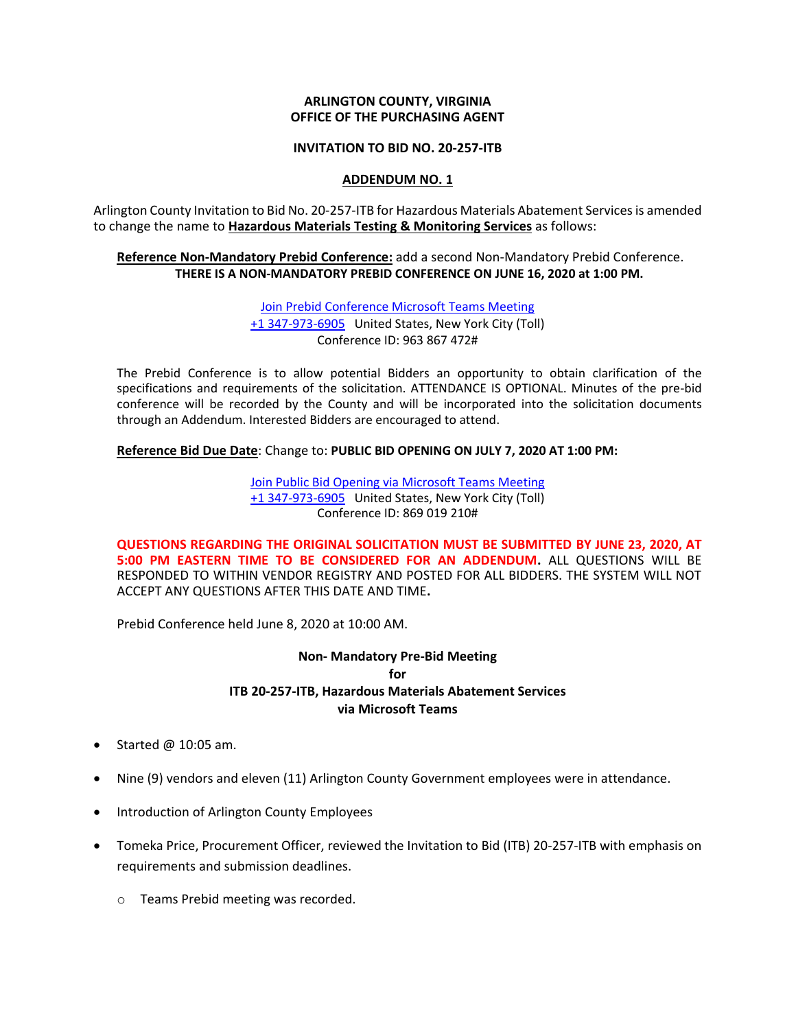#### **ARLINGTON COUNTY, VIRGINIA OFFICE OF THE PURCHASING AGENT**

### **INVITATION TO BID NO. 20-257-ITB**

# **ADDENDUM NO. 1**

Arlington County Invitation to Bid No. 20-257-ITB for Hazardous Materials Abatement Servicesis amended to change the name to **Hazardous Materials Testing & Monitoring Services** as follows:

# **Reference Non-Mandatory Prebid Conference:** add a second Non-Mandatory Prebid Conference. **THERE IS A NON-MANDATORY PREBID CONFERENCE ON JUNE 16, 2020 at 1:00 PM.**

[Join Prebid Conference Microsoft Teams Meeting](https://teams.microsoft.com/l/meetup-join/19%3ameeting_NjBiNmViNDgtNGFmMS00MWQ4LWIwYjktNjM0OWU3Nzg3NGNm%40thread.v2/0?context=%7b%22Tid%22%3a%2280354804-1fdf-428e-9f5f-5091e994cf54%22%2c%22Oid%22%3a%22f3d7a2c2-6f8c-4833-8dde-76a23239317f%22%7d) [+1 347-973-6905](tel:+1%20347-973-6905,,963867472# ) United States, New York City (Toll) Conference ID: 963 867 472#

The Prebid Conference is to allow potential Bidders an opportunity to obtain clarification of the specifications and requirements of the solicitation. ATTENDANCE IS OPTIONAL. Minutes of the pre-bid conference will be recorded by the County and will be incorporated into the solicitation documents through an Addendum. Interested Bidders are encouraged to attend.

**Reference Bid Due Date**: Change to: **PUBLIC BID OPENING ON JULY 7, 2020 AT 1:00 PM:**

[Join Public Bid Opening via Microsoft Teams Meeting](https://teams.microsoft.com/l/meetup-join/19%3ameeting_YmExYWNjNTgtYzJmNi00MTljLTllMWItNjU1NzA0MzJjMTBl%40thread.v2/0?context=%7b%22Tid%22%3a%2280354804-1fdf-428e-9f5f-5091e994cf54%22%2c%22Oid%22%3a%22f3d7a2c2-6f8c-4833-8dde-76a23239317f%22%7d) [+1 347-973-6905](tel:+1%20347-973-6905,,869019210# ) United States, New York City (Toll) Conference ID: 869 019 210#

**QUESTIONS REGARDING THE ORIGINAL SOLICITATION MUST BE SUBMITTED BY JUNE 23, 2020, AT 5:00 PM EASTERN TIME TO BE CONSIDERED FOR AN ADDENDUM.** ALL QUESTIONS WILL BE RESPONDED TO WITHIN VENDOR REGISTRY AND POSTED FOR ALL BIDDERS. THE SYSTEM WILL NOT ACCEPT ANY QUESTIONS AFTER THIS DATE AND TIME**.**

Prebid Conference held June 8, 2020 at 10:00 AM.

# **Non- Mandatory Pre-Bid Meeting for ITB 20-257-ITB, Hazardous Materials Abatement Services via Microsoft Teams**

- Started  $@$  10:05 am.
- Nine (9) vendors and eleven (11) Arlington County Government employees were in attendance.
- Introduction of Arlington County Employees
- Tomeka Price, Procurement Officer, reviewed the Invitation to Bid (ITB) 20-257-ITB with emphasis on requirements and submission deadlines.
	- o Teams Prebid meeting was recorded.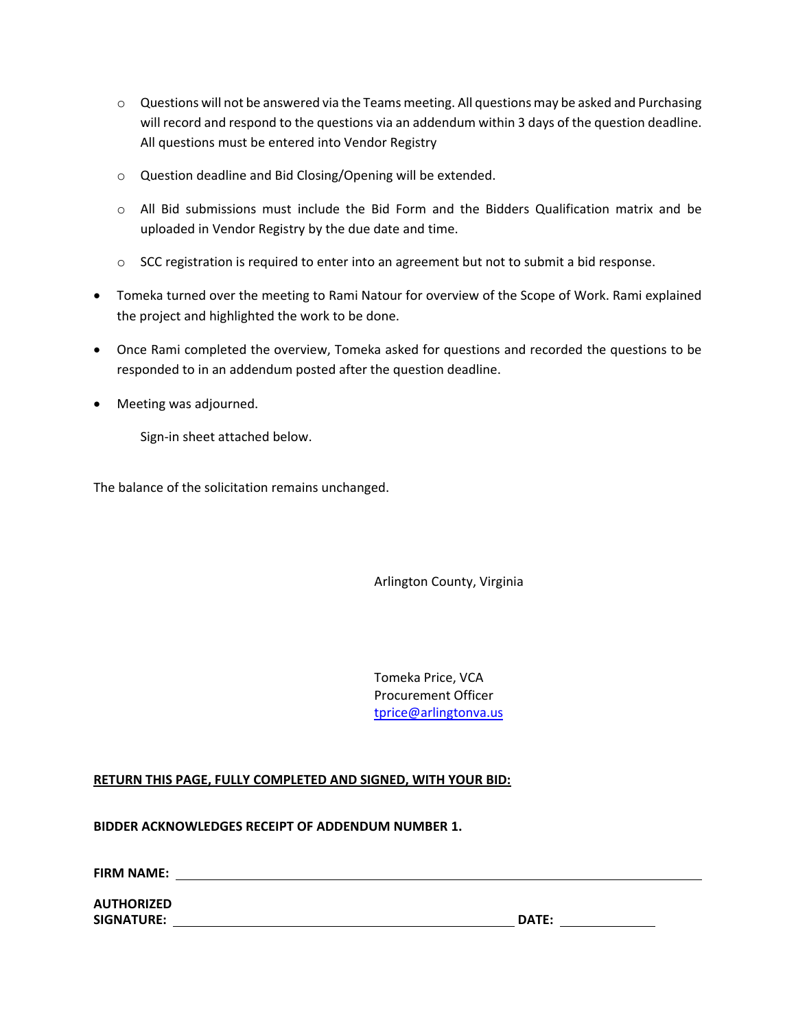- o Questions will not be answered via the Teams meeting. All questions may be asked and Purchasing will record and respond to the questions via an addendum within 3 days of the question deadline. All questions must be entered into Vendor Registry
- o Question deadline and Bid Closing/Opening will be extended.
- $\circ$  All Bid submissions must include the Bid Form and the Bidders Qualification matrix and be uploaded in Vendor Registry by the due date and time.
- o SCC registration is required to enter into an agreement but not to submit a bid response.
- Tomeka turned over the meeting to Rami Natour for overview of the Scope of Work. Rami explained the project and highlighted the work to be done.
- Once Rami completed the overview, Tomeka asked for questions and recorded the questions to be responded to in an addendum posted after the question deadline.
- Meeting was adjourned.

Sign-in sheet attached below.

The balance of the solicitation remains unchanged.

Arlington County, Virginia

Tomeka Price, VCA Procurement Officer [tprice@arlingtonva.us](mailto:tprice@arlingtonva.us)

# **RETURN THIS PAGE, FULLY COMPLETED AND SIGNED, WITH YOUR BID:**

**BIDDER ACKNOWLEDGES RECEIPT OF ADDENDUM NUMBER 1.**

**FIRM NAME:** 

**AUTHORIZED SIGNATURE: DATE:**